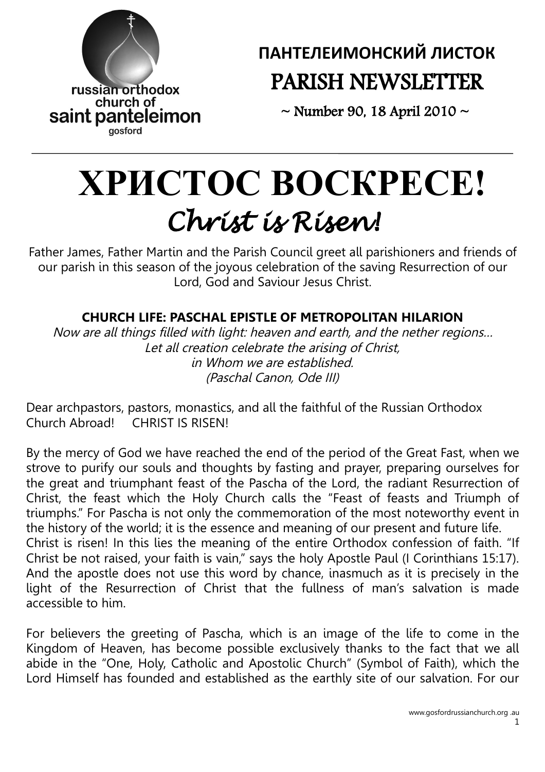

**ПАНТЕЛЕИМОНСКИЙ ЛИСТОК** PARISH NEWSLETTER

 $\sim$  Number 90, 18 April 2010  $\sim$ 

# **ХРИСТOС ВOСКРЕСЕ!** *Christ is Risen!*

Father James, Father Martin and the Parish Council greet all parishioners and friends of our parish in this season of the joyous celebration of the saving Resurrection of our Lord, God and Saviour Jesus Christ.

# **CHURCH LIFE: PASCHAL EPISTLE OF METROPOLITAN HILARION**

Now are all things filled with light: heaven and earth, and the nether regions… Let all creation celebrate the arising of Christ, in Whom we are established. (Paschal Canon, Ode III)

Dear archpastors, pastors, monastics, and all the faithful of the Russian Orthodox Church Abroad! CHRIST IS RISEN!

By the mercy of God we have reached the end of the period of the Great Fast, when we strove to purify our souls and thoughts by fasting and prayer, preparing ourselves for the great and triumphant feast of the Pascha of the Lord, the radiant Resurrection of Christ, the feast which the Holy Church calls the "Feast of feasts and Triumph of triumphs." For Pascha is not only the commemoration of the most noteworthy event in the history of the world; it is the essence and meaning of our present and future life. Christ is risen! In this lies the meaning of the entire Orthodox confession of faith. "If Christ be not raised, your faith is vain," says the holy Apostle Paul (I Corinthians 15:17). And the apostle does not use this word by chance, inasmuch as it is precisely in the light of the Resurrection of Christ that the fullness of man's salvation is made accessible to him.

For believers the greeting of Pascha, which is an image of the life to come in the Kingdom of Heaven, has become possible exclusively thanks to the fact that we all abide in the "One, Holy, Catholic and Apostolic Church" (Symbol of Faith), which the Lord Himself has founded and established as the earthly site of our salvation. For our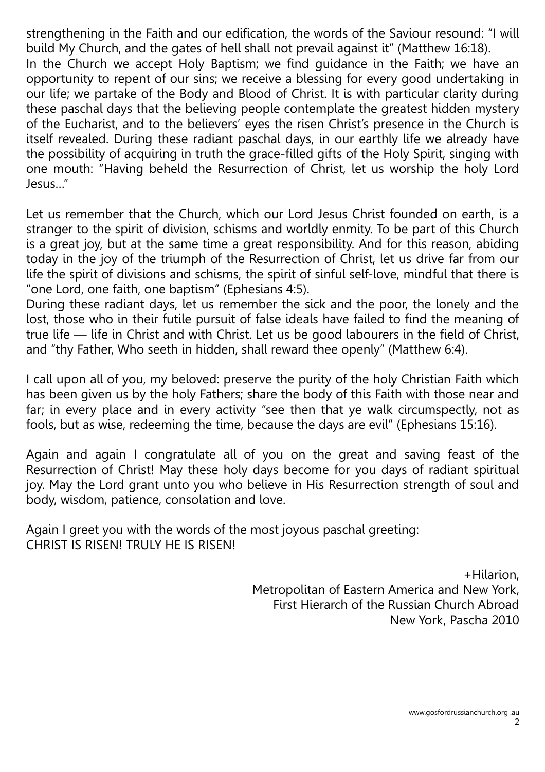strengthening in the Faith and our edification, the words of the Saviour resound: "I will build My Church, and the gates of hell shall not prevail against it" (Matthew 16:18). In the Church we accept Holy Baptism; we find guidance in the Faith; we have an opportunity to repent of our sins; we receive a blessing for every good undertaking in our life; we partake of the Body and Blood of Christ. It is with particular clarity during these paschal days that the believing people contemplate the greatest hidden mystery of the Eucharist, and to the believers' eyes the risen Christ's presence in the Church is itself revealed. During these radiant paschal days, in our earthly life we already have the possibility of acquiring in truth the grace-filled gifts of the Holy Spirit, singing with one mouth: "Having beheld the Resurrection of Christ, let us worship the holy Lord Jesus…"

Let us remember that the Church, which our Lord Jesus Christ founded on earth, is a stranger to the spirit of division, schisms and worldly enmity. To be part of this Church is a great joy, but at the same time a great responsibility. And for this reason, abiding today in the joy of the triumph of the Resurrection of Christ, let us drive far from our life the spirit of divisions and schisms, the spirit of sinful self-love, mindful that there is "one Lord, one faith, one baptism" (Ephesians 4:5).

During these radiant days, let us remember the sick and the poor, the lonely and the lost, those who in their futile pursuit of false ideals have failed to find the meaning of true life — life in Christ and with Christ. Let us be good labourers in the field of Christ, and "thy Father, Who seeth in hidden, shall reward thee openly" (Matthew 6:4).

I call upon all of you, my beloved: preserve the purity of the holy Christian Faith which has been given us by the holy Fathers; share the body of this Faith with those near and far; in every place and in every activity "see then that ye walk circumspectly, not as fools, but as wise, redeeming the time, because the days are evil" (Ephesians 15:16).

Again and again I congratulate all of you on the great and saving feast of the Resurrection of Christ! May these holy days become for you days of radiant spiritual joy. May the Lord grant unto you who believe in His Resurrection strength of soul and body, wisdom, patience, consolation and love.

Again I greet you with the words of the most joyous paschal greeting: CHRIST IS RISEN! TRULY HE IS RISEN!

> +Hilarion, Metropolitan of Eastern America and New York, First Hierarch of the Russian Church Abroad New York, Pascha 2010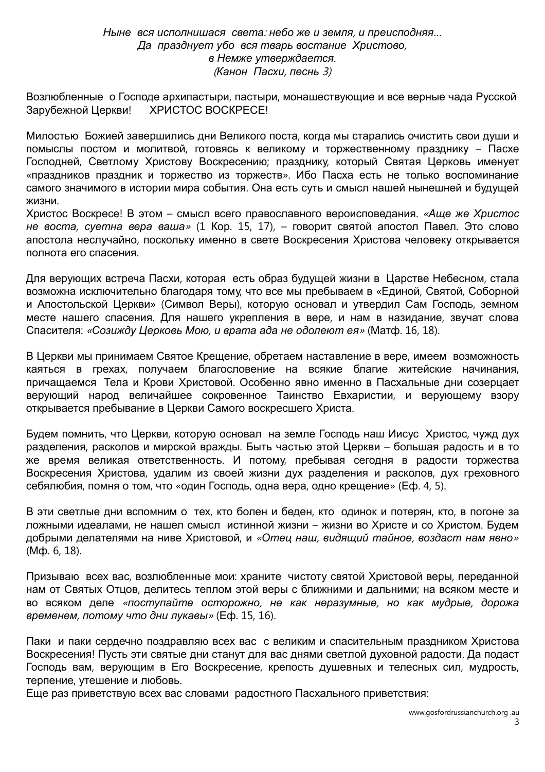#### *Ныне вся исполнишася света*: *небо же и земля*, *и преисподняя*… *Да празднует убо вся тварь востание Христово*, *в Немже утверждается*. (*Канон Пасхи*, *песнь* 3)

Возлюбленные о Господе архипастыри, пастыри, монашествующие и все верные чада Русской Зарубежной Церкви! ХРИСТОС ВОСКРЕСЕ!

Милостью Божией завершились дни Великого поста, когда мы старались очистить свои души и помыслы постом и молитвой, готовясь к великому и торжественному празднику – Пасхе Господней, Светлому Христову Воскресению; празднику, который Святая Церковь именует «праздников праздник и торжество из торжеств». Ибо Пасха есть не только воспоминание самого значимого в истории мира события. Она есть суть и смысл нашей нынешней и будущей жизни.

Христос Воскресе! В этом – смысл всего православного вероисповедания. «*Аще же Христос не воста*, *суетна вера ваша*» (1 Кор. 15, 17), – говорит святой апостол Павел. Это слово апостола неслучайно, поскольку именно в свете Воскресения Христова человеку открывается полнота его спасения.

Для верующих встреча Пасхи, которая есть образ будущей жизни в Царстве Небесном, стала возможна исключительно благодаря тому, что все мы пребываем в «Единой, Святой, Соборной и Апостольской Церкви» (Символ Веры), которую основал и утвердил Сам Господь, земном месте нашего спасения. Для нашего укрепления в вере, и нам в назидание, звучат слова Спасителя: «*Созижду Церковь Мою*, *и врата ада не одолеют ея*» (Матф. 16, 18).

В Церкви мы принимаем Святое Крещение, обретаем наставление в вере, имеем возможность каяться в грехах, получаем благословение на всякие благие житейские начинания, причащаемся Тела и Крови Христовой. Особенно явно именно в Пасхальные дни созерцает верующий народ величайшее сокровенное Таинство Евхаристии, и верующему взору открывается пребывание в Церкви Самого воскресшего Христа.

Будем помнить, что Церкви, которую основал на земле Господь наш Иисус Христос, чужд дух разделения, расколов и мирской вражды. Быть частью этой Церкви – большая радость и в то же время великая ответственность. И потому, пребывая сегодня в радости торжества Воскресения Христова, удалим из своей жизни дух разделения и расколов, дух греховного себялюбия, помня о том, что «один Господь, одна вера, одно крещение» (Еф. 4, 5).

В эти светлые дни вспомним о тех, кто болен и беден, кто одинок и потерян, кто, в погоне за ложными идеалами, не нашел смысл истинной жизни – жизни во Христе и со Христом. Будем добрыми делателями на ниве Христовой, и «*Отец наш*, *видящий тайное*, *воздаст нам явно*» (Мф. 6, 18).

Призываю всех вас, возлюбленные мои: храните чистоту святой Христовой веры, переданной нам от Святых Отцов, делитесь теплом этой веры с ближними и дальними; на всяком месте и во всяком деле «*поступайте осторожно*, *не как неразумные*, *но как мудрые*, *дорожа временем*, *потому что дни лукавы*» (Еф. 15, 16).

Паки и паки сердечно поздравляю всех вас с великим и спасительным праздником Христова Воскресения! Пусть эти святые дни станут для вас днями светлой духовной радости. Да подаст Господь вам, верующим в Его Воскресение, крепость душевных и телесных сил, мудрость, терпение, утешение и любовь.

Еще раз приветствую всех вас словами радостного Пасхального приветствия: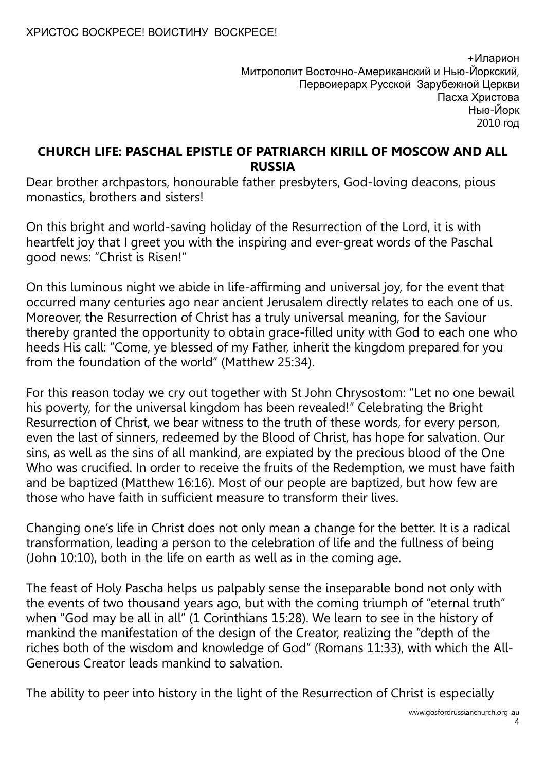+Иларион Митрополит Восточно-Американский и Нью-Йоркский, Первоиерарх Русской Зарубежной Церкви Пасха Христова Нью-Йорк 2010 год

### **CHURCH LIFE: PASCHAL EPISTLE OF PATRIARCH KIRILL OF MOSCOW AND ALL RUSSIA**

Dear brother archpastors, honourable father presbyters, God-loving deacons, pious monastics, brothers and sisters!

On this bright and world-saving holiday of the Resurrection of the Lord, it is with heartfelt joy that I greet you with the inspiring and ever-great words of the Paschal good news: "Christ is Risen!"

On this luminous night we abide in life-affirming and universal joy, for the event that occurred many centuries ago near ancient Jerusalem directly relates to each one of us. Moreover, the Resurrection of Christ has a truly universal meaning, for the Saviour thereby granted the opportunity to obtain grace-filled unity with God to each one who heeds His call: "Come, ye blessed of my Father, inherit the kingdom prepared for you from the foundation of the world" (Matthew 25:34).

For this reason today we cry out together with St John Chrysostom: "Let no one bewail his poverty, for the universal kingdom has been revealed!" Celebrating the Bright Resurrection of Christ, we bear witness to the truth of these words, for every person, even the last of sinners, redeemed by the Blood of Christ, has hope for salvation. Our sins, as well as the sins of all mankind, are expiated by the precious blood of the One Who was crucified. In order to receive the fruits of the Redemption, we must have faith and be baptized (Matthew 16:16). Most of our people are baptized, but how few are those who have faith in sufficient measure to transform their lives.

Changing one's life in Christ does not only mean a change for the better. It is a radical transformation, leading a person to the celebration of life and the fullness of being (John 10:10), both in the life on earth as well as in the coming age.

The feast of Holy Pascha helps us palpably sense the inseparable bond not only with the events of two thousand years ago, but with the coming triumph of "eternal truth" when "God may be all in all" (1 Corinthians 15:28). We learn to see in the history of mankind the manifestation of the design of the Creator, realizing the "depth of the riches both of the wisdom and knowledge of God" (Romans 11:33), with which the All-Generous Creator leads mankind to salvation.

The ability to peer into history in the light of the Resurrection of Christ is especially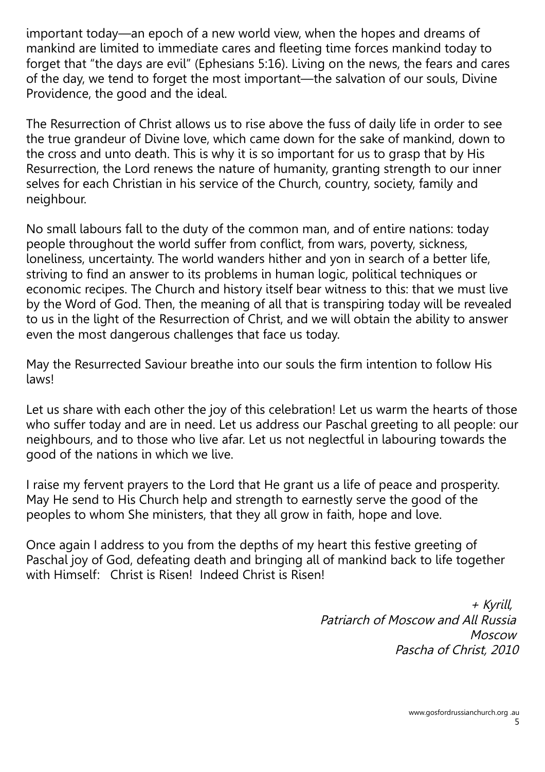important today—an epoch of a new world view, when the hopes and dreams of mankind are limited to immediate cares and fleeting time forces mankind today to forget that "the days are evil" (Ephesians 5:16). Living on the news, the fears and cares of the day, we tend to forget the most important—the salvation of our souls, Divine Providence, the good and the ideal.

The Resurrection of Christ allows us to rise above the fuss of daily life in order to see the true grandeur of Divine love, which came down for the sake of mankind, down to the cross and unto death. This is why it is so important for us to grasp that by His Resurrection, the Lord renews the nature of humanity, granting strength to our inner selves for each Christian in his service of the Church, country, society, family and neighbour.

No small labours fall to the duty of the common man, and of entire nations: today people throughout the world suffer from conflict, from wars, poverty, sickness, loneliness, uncertainty. The world wanders hither and yon in search of a better life, striving to find an answer to its problems in human logic, political techniques or economic recipes. The Church and history itself bear witness to this: that we must live by the Word of God. Then, the meaning of all that is transpiring today will be revealed to us in the light of the Resurrection of Christ, and we will obtain the ability to answer even the most dangerous challenges that face us today.

May the Resurrected Saviour breathe into our souls the firm intention to follow His laws!

Let us share with each other the joy of this celebration! Let us warm the hearts of those who suffer today and are in need. Let us address our Paschal greeting to all people: our neighbours, and to those who live afar. Let us not neglectful in labouring towards the good of the nations in which we live.

I raise my fervent prayers to the Lord that He grant us a life of peace and prosperity. May He send to His Church help and strength to earnestly serve the good of the peoples to whom She ministers, that they all grow in faith, hope and love.

Once again I address to you from the depths of my heart this festive greeting of Paschal joy of God, defeating death and bringing all of mankind back to life together with Himself: Christ is Risen! Indeed Christ is Risen!

> + Kyrill, Patriarch of Moscow and All Russia Moscow Pascha of Christ, 2010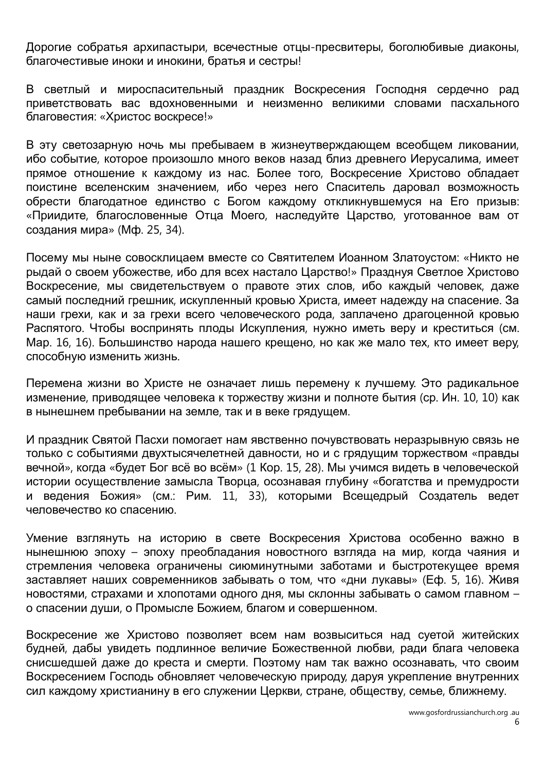Дорогие собратья архипастыри, всечестные отцы-пресвитеры, боголюбивые диаконы, благочестивые иноки и инокини, братья и сестры!

В светлый и мироспасительный праздник Воскресения Господня сердечно рад приветствовать вас вдохновенными и неизменно великими словами пасхального благовестия: «Христос воскресе!»

В эту светозарную ночь мы пребываем в жизнеутверждающем всеобщем ликовании, ибо событие, которое произошло много веков назад близ древнего Иерусалима, имеет прямое отношение к каждому из нас. Более того, Воскресение Христово обладает поистине вселенским значением, ибо через него Спаситель даровал возможность обрести благодатное единство с Богом каждому откликнувшемуся на Его призыв: «Приидите, благословенные Отца Моего, наследуйте Царство, уготованное вам от создания мира» (Мф. 25, 34).

Посему мы ныне совосклицаем вместе со Святителем Иоанном Златоустом: «Никто не рыдай о своем убожестве, ибо для всех настало Царство!» Празднуя Светлое Христово Воскресение, мы свидетельствуем о правоте этих слов, ибо каждый человек, даже самый последний грешник, искупленный кровью Христа, имеет надежду на спасение. За наши грехи, как и за грехи всего человеческого рода, заплачено драгоценной кровью Распятого. Чтобы воспринять плоды Искупления, нужно иметь веру и креститься (см. Мар. 16, 16). Большинство народа нашего крещено, но как же мало тех, кто имеет веру, способную изменить жизнь.

Перемена жизни во Христе не означает лишь перемену к лучшему. Это радикальное изменение, приводящее человека к торжеству жизни и полноте бытия (ср. Ин. 10, 10) как в нынешнем пребывании на земле, так и в веке грядущем.

И праздник Святой Пасхи помогает нам явственно почувствовать неразрывную связь не только с событиями двухтысячелетней давности, но и с грядущим торжеством «правды вечной», когда «будет Бог всё во всём» (1 Кор. 15, 28). Мы учимся видеть в человеческой истории осуществление замысла Творца, осознавая глубину «богатства и премудрости и ведения Божия» (см.: Рим. 11, 33), которыми Всещедрый Создатель ведет человечество ко спасению.

Умение взглянуть на историю в свете Воскресения Христова особенно важно в нынешнюю эпоху – эпоху преобладания новостного взгляда на мир, когда чаяния и стремления человека ограничены сиюминутными заботами и быстротекущее время заставляет наших современников забывать о том, что «дни лукавы» (Еф. 5, 16). Живя новостями, страхами и хлопотами одного дня, мы склонны забывать о самом главном – о спасении души, о Промысле Божием, благом и совершенном.

Воскресение же Христово позволяет всем нам возвыситься над суетой житейских будней, дабы увидеть подлинное величие Божественной любви, ради блага человека снисшедшей даже до креста и смерти. Поэтому нам так важно осознавать, что своим Воскресением Господь обновляет человеческую природу, даруя укрепление внутренних сил каждому христианину в его служении Церкви, стране, обществу, семье, ближнему.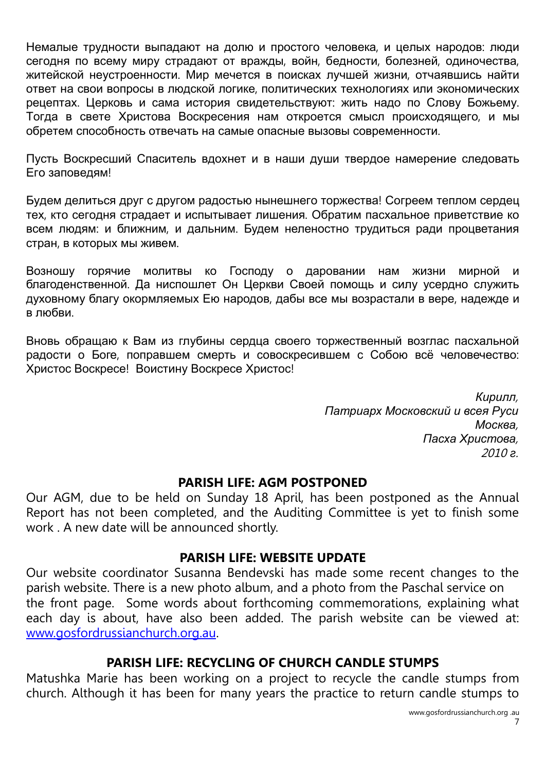Немалые трудности выпадают на долю и простого человека, и целых народов: люди сегодня по всему миру страдают от вражды, войн, бедности, болезней, одиночества, житейской неустроенности. Мир мечется в поисках лучшей жизни, отчаявшись найти ответ на свои вопросы в людской логике, политических технологиях или экономических рецептах. Церковь и сама история свидетельствуют: жить надо по Слову Божьему. Тогда в свете Христова Воскресения нам откроется смысл происходящего, и мы обретем способность отвечать на самые опасные вызовы современности.

Пусть Воскресший Спаситель вдохнет и в наши души твердое намерение следовать Его заповедям!

Будем делиться друг с другом радостью нынешнего торжества! Согреем теплом сердец тех, кто сегодня страдает и испытывает лишения. Обратим пасхальное приветствие ко всем людям: и ближним, и дальним. Будем неленостно трудиться ради процветания стран, в которых мы живем.

Возношу горячие молитвы ко Господу о даровании нам жизни мирной и благоденственной. Да ниспошлет Он Церкви Своей помощь и силу усердно служить духовному благу окормляемых Ею народов, дабы все мы возрастали в вере, надежде и в любви.

Вновь обращаю к Вам из глубины сердца своего торжественный возглас пасхальной радости о Боге, поправшем смерть и совоскресившем с Собою всё человечество: Христос Воскресе! Воистину Воскресе Христос!

> *Кирилл*, *Патриарх Московский и всея Руси Москва*, *Пасха Христова*, 2010 *г*.

#### **PARISH LIFE: AGM POSTPONED**

Our AGM, due to be held on Sunday 18 April, has been postponed as the Annual Report has not been completed, and the Auditing Committee is yet to finish some work . A new date will be announced shortly.

#### **PARISH LIFE: WEBSITE UPDATE**

Our website coordinator Susanna Bendevski has made some recent changes to the parish website. There is a new photo album, and a photo from the Paschal service on the front page. Some words about forthcoming commemorations, explaining what each day is about, have also been added. The parish website can be viewed at: [www.gosfordrussianchurch.org.au.](http://www.gosfordrussianchurch.org.au/)

#### **PARISH LIFE: RECYCLING OF CHURCH CANDLE STUMPS**

Matushka Marie has been working on a project to recycle the candle stumps from church. Although it has been for many years the practice to return candle stumps to